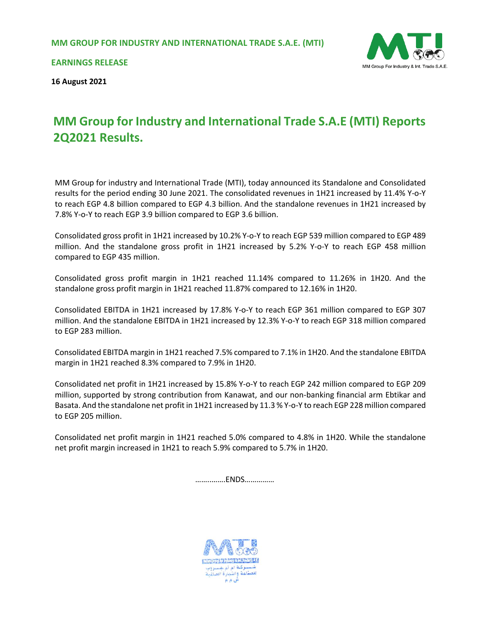

**EARNINGS RELEASE**

**16 August 2021**

# **MM Group for Industry and International Trade S.A.E (MTI) Reports 2Q2021 Results.**

MM Group for industry and International Trade (MTI), today announced its Standalone and Consolidated results for the period ending 30 June 2021. The consolidated revenues in 1H21 increased by 11.4% Y-o-Y to reach EGP 4.8 billion compared to EGP 4.3 billion. And the standalone revenues in 1H21 increased by 7.8% Y-o-Y to reach EGP 3.9 billion compared to EGP 3.6 billion.

Consolidated gross profit in 1H21 increased by 10.2% Y-o-Y to reach EGP 539 million compared to EGP 489 million. And the standalone gross profit in 1H21 increased by 5.2% Y-o-Y to reach EGP 458 million compared to EGP 435 million.

Consolidated gross profit margin in 1H21 reached 11.14% compared to 11.26% in 1H20. And the standalone gross profit margin in 1H21 reached 11.87% compared to 12.16% in 1H20.

Consolidated EBITDA in 1H21 increased by 17.8% Y-o-Y to reach EGP 361 million compared to EGP 307 million. And the standalone EBITDA in 1H21 increased by 12.3% Y-o-Y to reach EGP 318 million compared to EGP 283 million.

Consolidated EBITDA margin in 1H21 reached 7.5% compared to 7.1% in 1H20. And the standalone EBITDA margin in 1H21 reached 8.3% compared to 7.9% in 1H20.

Consolidated net profit in 1H21 increased by 15.8% Y-o-Y to reach EGP 242 million compared to EGP 209 million, supported by strong contribution from Kanawat, and our non-banking financial arm Ebtikar and Basata. And the standalone net profit in 1H21 increased by 11.3 % Y-o-Y to reach EGP 228 million compared to EGP 205 million.

Consolidated net profit margin in 1H21 reached 5.0% compared to 4.8% in 1H20. While the standalone net profit margin increased in 1H21 to reach 5.9% compared to 5.7% in 1H20.

……..…….ENDS……………

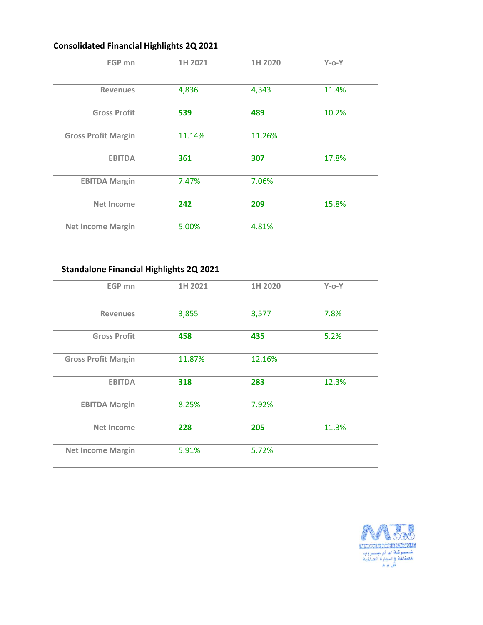# **Consolidated Financial Highlights 2Q 2021**

| EGP mn                     | 1H 2021 | 1H 2020 | $Y$ -o-Y |
|----------------------------|---------|---------|----------|
| <b>Revenues</b>            | 4,836   | 4,343   | 11.4%    |
| <b>Gross Profit</b>        | 539     | 489     | 10.2%    |
| <b>Gross Profit Margin</b> | 11.14%  | 11.26%  |          |
| <b>EBITDA</b>              | 361     | 307     | 17.8%    |
| <b>EBITDA Margin</b>       | 7.47%   | 7.06%   |          |
| Net Income                 | 242     | 209     | 15.8%    |
| <b>Net Income Margin</b>   | 5.00%   | 4.81%   |          |

# **Standalone Financial Highlights 2Q 2021**

| EGP mn                     | 1H 2021 | 1H 2020 | $Y$ -o- $Y$ |  |
|----------------------------|---------|---------|-------------|--|
| <b>Revenues</b>            | 3,855   | 3,577   | 7.8%        |  |
| <b>Gross Profit</b>        | 458     | 435     | 5.2%        |  |
| <b>Gross Profit Margin</b> | 11.87%  | 12.16%  |             |  |
| <b>EBITDA</b>              | 318     | 283     | 12.3%       |  |
| <b>EBITDA Margin</b>       | 8.25%   | 7.92%   |             |  |
| <b>Net Income</b>          | 228     | 205     | 11.3%       |  |
| <b>Net Income Margin</b>   | 5.91%   | 5.72%   |             |  |

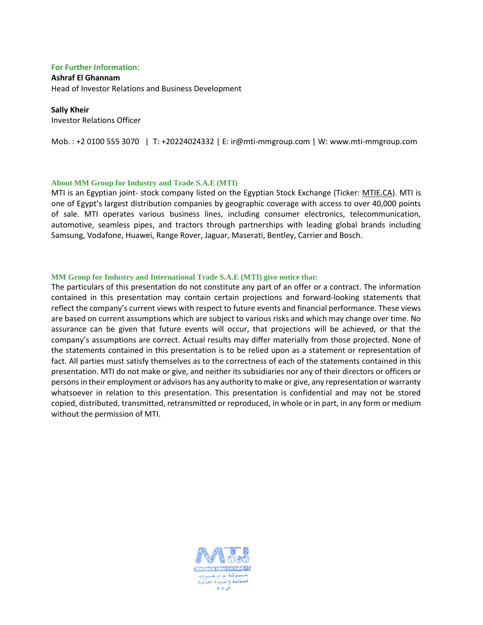#### **For Further Information:**

#### **Ashraf El Ghannam**

Head of Investor Relations and Business Development

#### **Sally Kheir**

Investor Relations Officer

Mob. : +2 0100 555 3070 | T: +20224024332 | E: [ir@mti-mmgroup.com](mailto:ir@mti-mmgroup.com) | W: [www.mti-mmgroup.com](http://www.mti-mmgroup.com/)

#### **About MM Group for Industry and Trade S.A.E (MTI)**

MTI is an Egyptian joint- stock company listed on the Egyptian Stock Exchange (Ticker: [MTIE.CA\)](http://mtie.ca/). MTI is one of Egypt's largest distribution companies by geographic coverage with access to over 40,000 points of sale. MTI operates various business lines, including consumer electronics, telecommunication, automotive, seamless pipes, and tractors through partnerships with leading global brands including Samsung, Vodafone, Huawei, Range Rover, Jaguar, Maserati, Bentley, Carrier and Bosch.

#### **MM Group for Industry and International Trade S.A.E (MTI) give notice that:**

The particulars of this presentation do not constitute any part of an offer or a contract. The information contained in this presentation may contain certain projections and forward‐looking statements that reflect the company's current views with respect to future events and financial performance. These views are based on current assumptions which are subject to various risks and which may change over time. No assurance can be given that future events will occur, that projections will be achieved, or that the company's assumptions are correct. Actual results may differ materially from those projected. None of the statements contained in this presentation is to be relied upon as a statement or representation of fact. All parties must satisfy themselves as to the correctness of each of the statements contained in this presentation. MTI do not make or give, and neither its subsidiaries nor any of their directors or officers or persons in their employment or advisors has any authority to make or give, any representation or warranty whatsoever in relation to this presentation. This presentation is confidential and may not be stored copied, distributed, transmitted, retransmitted or reproduced, in whole or in part, in any form or medium without the permission of MTI.

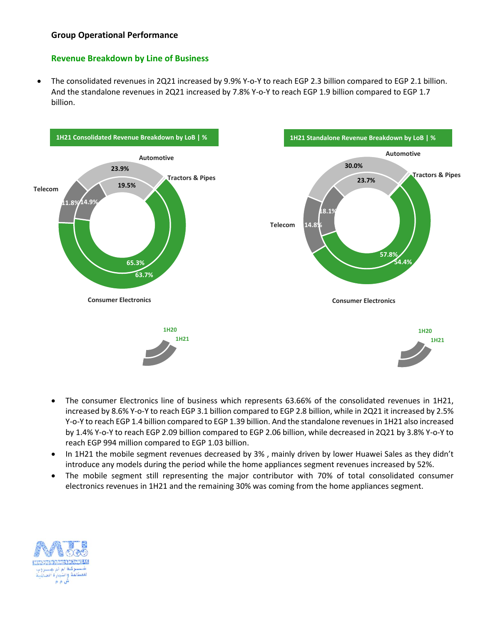# **Group Operational Performance**

## **Revenue Breakdown by Line of Business**

 The consolidated revenues in 2Q21 increased by 9.9% Y-o-Y to reach EGP 2.3 billion compared to EGP 2.1 billion. And the standalone revenues in 2Q21 increased by 7.8% Y-o-Y to reach EGP 1.9 billion compared to EGP 1.7 billion.



- The consumer Electronics line of business which represents 63.66% of the consolidated revenues in 1H21, increased by 8.6% Y-o-Y to reach EGP 3.1 billion compared to EGP 2.8 billion, while in 2Q21 it increased by 2.5% Y-o-Y to reach EGP 1.4 billion compared to EGP 1.39 billion. And the standalone revenues in 1H21 also increased by 1.4% Y-o-Y to reach EGP 2.09 billion compared to EGP 2.06 billion, while decreased in 2Q21 by 3.8% Y-o-Y to reach EGP 994 million compared to EGP 1.03 billion.
- In 1H21 the mobile segment revenues decreased by 3%, mainly driven by lower Huawei Sales as they didn't introduce any models during the period while the home appliances segment revenues increased by 52%.
- The mobile segment still representing the major contributor with 70% of total consolidated consumer electronics revenues in 1H21 and the remaining 30% was coming from the home appliances segment.

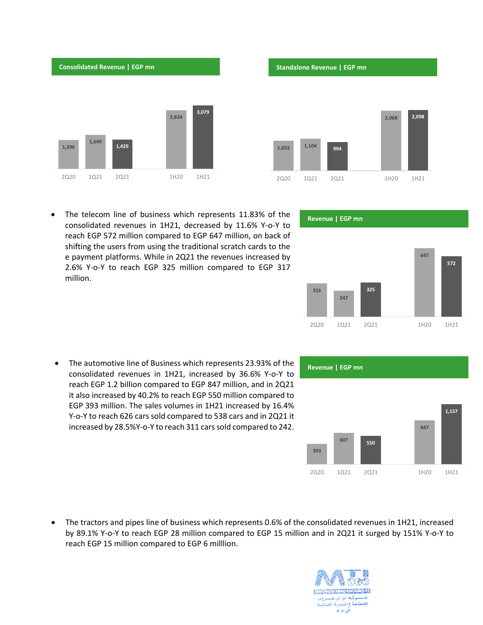

 The telecom line of business which represents 11.83% of the consolidated revenues in 1H21, decreased by 11.6% Y-o-Y to reach EGP 572 million compared to EGP 647 million, on back of shifting the users from using the traditional scratch cards to the e payment platforms. While in 2Q21 the revenues increased by 2.6% Y-o-Y to reach EGP 325 million compared to EGP 317 million.

 The automotive line of Business which represents 23.93% of the consolidated revenues in 1H21, increased by 36.6% Y-o-Y to reach EGP 1.2 billion compared to EGP 847 million, and in 2Q21 it also increased by 40.2% to reach EGP 550 million compared to EGP 393 million. The sales volumes in 1H21 increased by 16.4% Y-o-Y to reach 626 cars sold compared to 538 cars and in 2Q21 it increased by 28.5%Y-o-Y to reach 311 cars sold compared to 242.

 The tractors and pipes line of business which represents 0.6% of the consolidated revenues in 1H21, increased by 89.1% Y-o-Y to reach EGP 28 million compared to EGP 15 million and in 2Q21 it surged by 151% Y-o-Y to reach EGP 15 million compared to EGP 6 milllion.





#### **Revenue | EGP mn**

**Revenue | EGP mn**



# **393 <sup>607</sup> <sup>550</sup> 847 1,157** 2Q20 1Q21 2Q21 1H20 1H21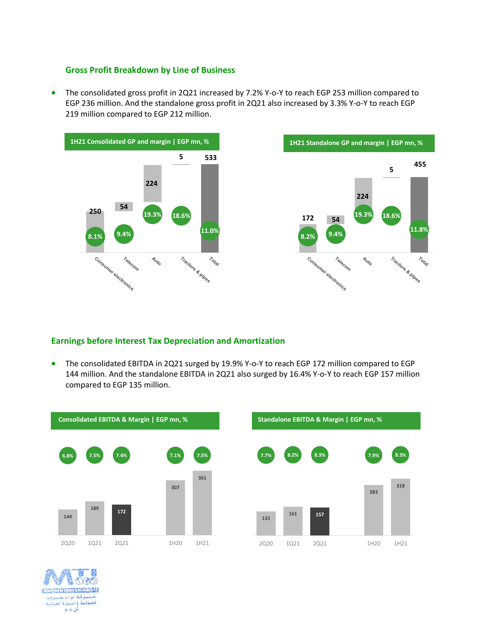## **Gross Profit Breakdown by Line of Business**

• The consolidated gross profit in 2Q21 increased by 7.2% Y-o-Y to reach EGP 253 million compared to EGP 236 million. And the standalone gross profit in 2Q21 also increased by 3.3% Y-o-Y to reach EGP 219 million compared to EGP 212 million.





# **Earnings before Interest Tax Depreciation and Amortization**

 The consolidated EBITDA in 2Q21 surged by 19.9% Y-o-Y to reach EGP 172 million compared to EGP 144 million. And the standalone EBITDA in 2Q21 also surged by 16.4% Y-o-Y to reach EGP 157 million compared to EGP 135 million.



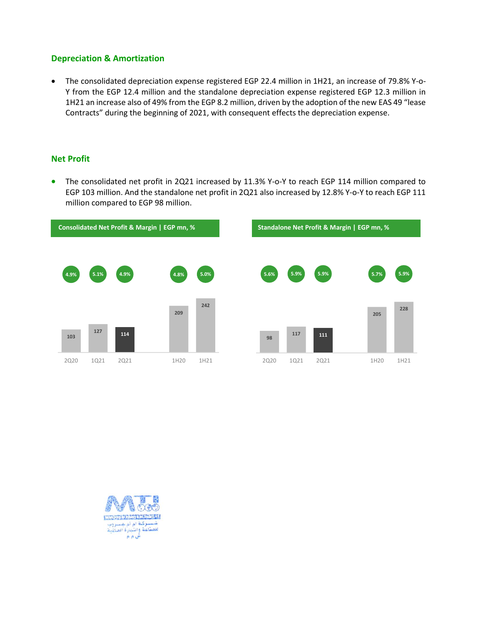## **Depreciation & Amortization**

 The consolidated depreciation expense registered EGP 22.4 million in 1H21, an increase of 79.8% Y-o-Y from the EGP 12.4 million and the standalone depreciation expense registered EGP 12.3 million in 1H21 an increase also of 49% from the EGP 8.2 million, driven by the adoption of the new EAS 49 "lease Contracts" during the beginning of 2021, with consequent effects the depreciation expense.

## **Net Profit**

• The consolidated net profit in 2Q21 increased by 11.3% Y-o-Y to reach EGP 114 million compared to EGP 103 million. And the standalone net profit in 2Q21 also increased by 12.8% Y-o-Y to reach EGP 111 million compared to EGP 98 million.



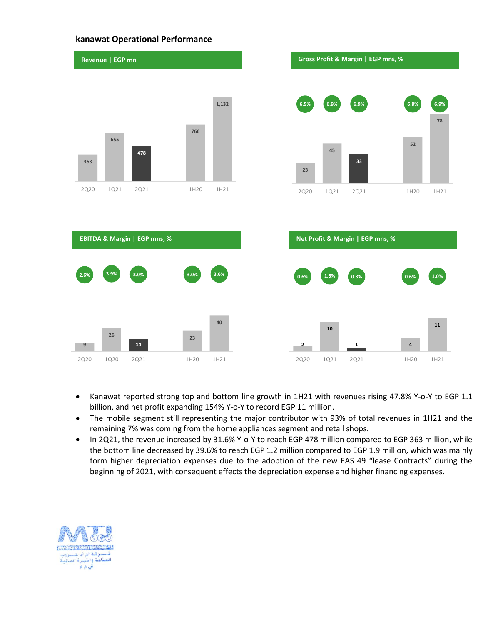#### **kanawat Operational Performance**



- Kanawat reported strong top and bottom line growth in 1H21 with revenues rising 47.8% Y-o-Y to EGP 1.1 billion, and net profit expanding 154% Y-o-Y to record EGP 11 million.
- The mobile segment still representing the major contributor with 93% of total revenues in 1H21 and the remaining 7% was coming from the home appliances segment and retail shops.
- In 2Q21, the revenue increased by 31.6% Y-o-Y to reach EGP 478 million compared to EGP 363 million, while the bottom line decreased by 39.6% to reach EGP 1.2 million compared to EGP 1.9 million, which was mainly form higher depreciation expenses due to the adoption of the new EAS 49 "lease Contracts" during the beginning of 2021, with consequent effects the depreciation expense and higher financing expenses.